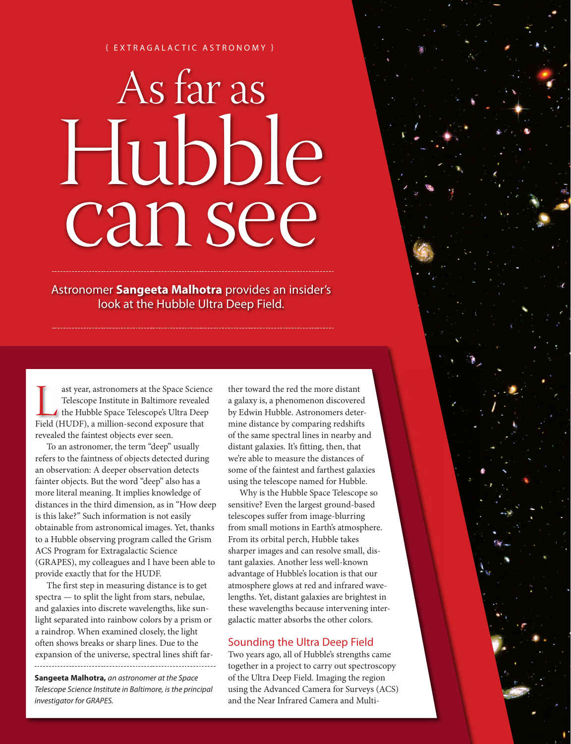## { E X T R A G A L A C T I C A S T R O N O M Y }

# As far as Hubble can see

Astronomer **Sangeeta Malhotra** provides an insider's look at the Hubble Ultra Deep Field.

ast year, astronomers at the Space Science Telescope Institute in Baltimore revealed the Hubble Space Telescope's Ultra Deep Field (HUDF), a million-second exposure that ast year, astronomers at the Space Science Telescope Institute in Baltimore revealed the Hubble Space Telescope's Ultra Deep revealed the faintest objects ever seen.

To an astronomer, the term "deep" usually refers to the faintness of objects detected during an observation: A deeper observation detects fainter objects. But the word "deep" also has a more literal meaning. It implies knowledge of distances in the third dimension, as in "How deep is this lake?" Such information is not easily obtainable from astronomical images. Yet, thanks to a Hubble observing program called the Grism ACS Program for Extragalactic Science (GRAPES), my colleagues and I have been able to provide exactly that for the HUDF.

The first step in measuring distance is to get spectra — to split the light from stars, nebulae, and galaxies into discrete wavelengths, like sunlight separated into rainbow colors by a prism or a raindrop. When examined closely, the light often shows breaks or sharp lines. Due to the expansion of the universe, spectral lines shift far-

**Sangeeta Malhotra,** an astronomer at the Space Telescope Science Institute in Baltimore, is the principal investigator for GRAPES.

ther toward the red the more distant a galaxy is, a phenomenon discovered by Edwin Hubble. Astronomers determine distance by comparing redshifts of the same spectral lines in nearby and distant galaxies. It's fitting, then, that we're able to measure the distances of some of the faintest and farthest galaxies using the telescope named for Hubble.

Why is the Hubble Space Telescope so sensitive? Even the largest ground-based telescopes suffer from image-blurring from small motions in Earth's atmosphere. From its orbital perch, Hubble takes sharper images and can resolve small, distant galaxies. Another less well-known advantage of Hubble's location is that our atmosphere glows at red and infrared wavelengths. Yet, distant galaxies are brightest in these wavelengths because intervening intergalactic matter absorbs the other colors.

# Sounding the Ultra Deep Field

Two years ago, all of Hubble's strengths came together in a project to carry out spectroscopy of the Ultra Deep Field. Imaging the region using the Advanced Camera for Surveys (ACS) and the Near Infrared Camera and Multi-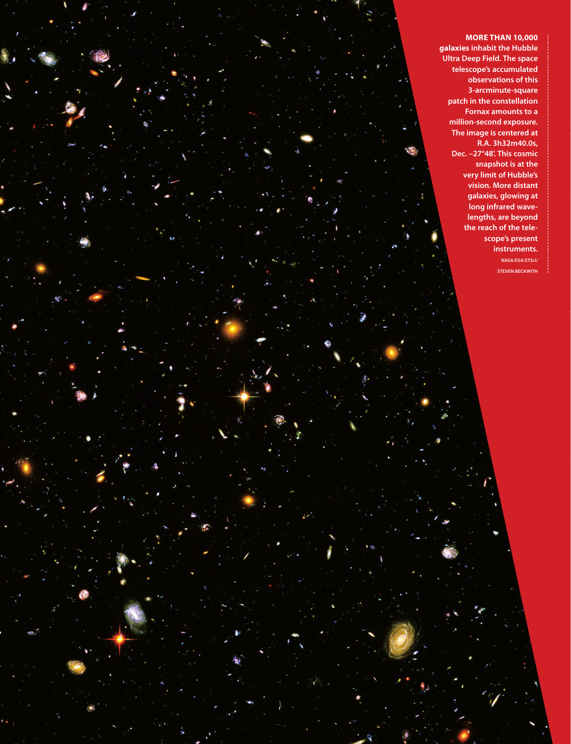**MORE THAN 10,000 galaxies inhabit the Hubble Ultra Deep Field. The space telescope's accumulated observations of this 3-arcminute-square patch in the constellation Fornax amounts to a million-second exposure. The image is centered at R.A. 3h32m40.0s, Dec. –27°48'. This cosmic snapshot is at the very limit of Hubble's vision. More distant galaxies, glowing at long infrared wavelengths, are beyond the reach of the telescope's present instruments. NASA/ESA/STSCI/ STEVEN BECKWITH**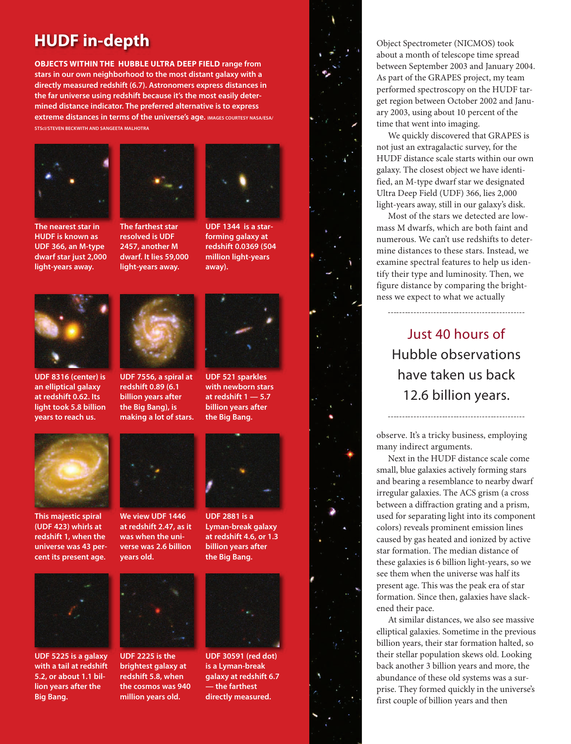# **HUDF in-depth**

**OBJECTS WITHIN THE HUBBLE ULTRA DEEP FIELD range from stars in our own neighborhood to the most distant galaxy with a directly measured redshift (6.7). Astronomers express distances in the far universe using redshift because it's the most easily determined distance indicator. The preferred alternative is to express extreme distances in terms of the universe's age. IMAGES COURTESY NASA/ESA/ STSCI/STEVEN BECKWITH AND SANGEETA MALHOTRA**



**The nearest star in HUDF is known as UDF 366, an M-type dwarf star just 2,000 light-years away.**



**resolved is UDF 2457, another M dwarf. It lies 59,000 light-years away.** 



**UDF 1344 is a starforming galaxy at redshift 0.0369 (504 million light-years away).**



**UDF 8316 (center) is an elliptical galaxy at redshift 0.62. Its light took 5.8 billion years to reach us.**



**UDF 7556, a spiral at redshift 0.89 (6.1 billion years after the Big Bang), is making a lot of stars.**



**UDF 521 sparkles with newborn stars at redshift 1 — 5.7 billion years after the Big Bang.**



**We view UDF 1446 at redshift 2.47, as it was when the universe was 2.6 billion years old.** 



**UDF 2225 is the brightest galaxy at redshift 5.8, when the cosmos was 940 million years old.** 

**UDF 2881 is a** 

**Lyman-break galaxy at redshift 4.6, or 1.3 billion years after the Big Bang.**



**UDF 30591 (red dot) is a Lyman-break galaxy at redshift 6.7 — the farthest directly measured.**



Object Spectrometer (NICMOS) took about a month of telescope time spread between September 2003 and January 2004. As part of the GRAPES project, my team performed spectroscopy on the HUDF target region between October 2002 and January 2003, using about 10 percent of the time that went into imaging.

We quickly discovered that GRAPES is not just an extragalactic survey, for the HUDF distance scale starts within our own galaxy. The closest object we have identified, an M-type dwarf star we designated Ultra Deep Field (UDF) 366, lies 2,000 light-years away, still in our galaxy's disk.

Most of the stars we detected are lowmass M dwarfs, which are both faint and numerous. We can't use redshifts to determine distances to these stars. Instead, we examine spectral features to help us identify their type and luminosity. Then, we figure distance by comparing the brightness we expect to what we actually

# Just 40 hours of Hubble observations have taken us back 12.6 billion years.

observe. It's a tricky business, employing many indirect arguments.

Next in the HUDF distance scale come small, blue galaxies actively forming stars and bearing a resemblance to nearby dwarf irregular galaxies. The ACS grism (a cross between a diffraction grating and a prism, used for separating light into its component colors) reveals prominent emission lines caused by gas heated and ionized by active star formation. The median distance of these galaxies is 6 billion light-years, so we see them when the universe was half its present age. This was the peak era of star formation. Since then, galaxies have slackened their pace.

At similar distances, we also see massive elliptical galaxies. Sometime in the previous billion years, their star formation halted, so their stellar population skews old. Looking back another 3 billion years and more, the abundance of these old systems was a surprise. They formed quickly in the universe's first couple of billion years and then



**This majestic spiral (UDF 423) whirls at redshift 1, when the universe was 43 percent its present age.** 



**UDF 5225 is a galaxy with a tail at redshift 5.2, or about 1.1 billion years after the Big Bang.**